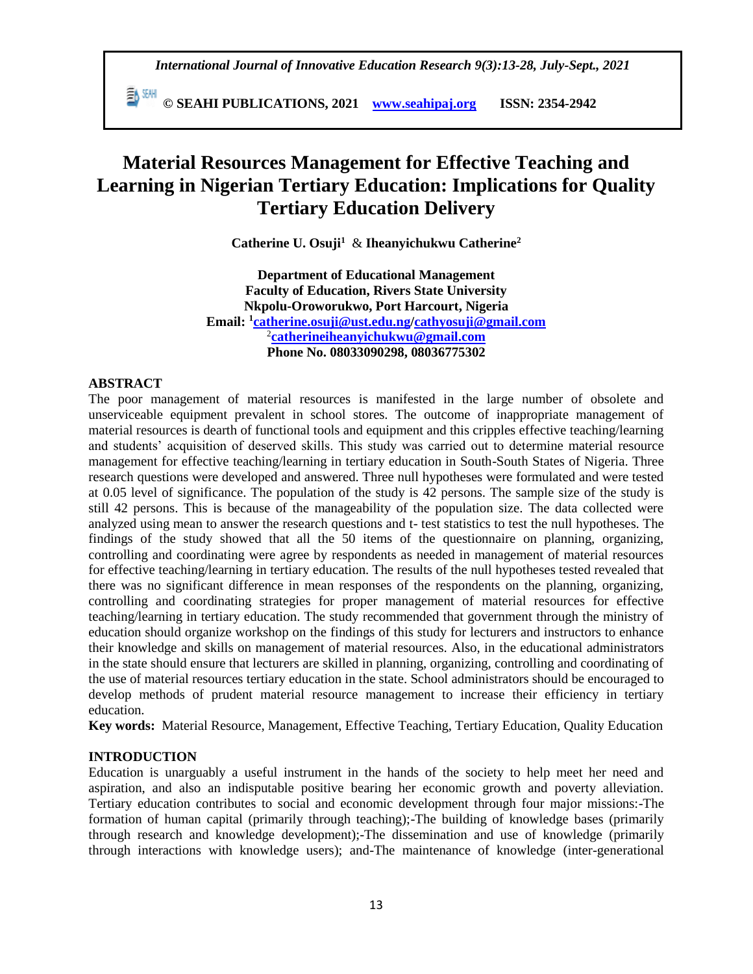**© SEAHI PUBLICATIONS, 2021 [www.seahipaj.org](http://www.seahipaj.org/) ISSN: 2354-2942**

# **Material Resources Management for Effective Teaching and Learning in Nigerian Tertiary Education: Implications for Quality Tertiary Education Delivery**

**Catherine U. Osuji<sup>1</sup>** & **Iheanyichukwu Catherine<sup>2</sup>**

**Department of Educational Management Faculty of Education, Rivers State University Nkpolu-Oroworukwo, Port Harcourt, Nigeria Email: <sup>1</sup> [catherine.osuji@ust.edu.ng/](mailto:catherine.osuji@ust.edu.ng)[cathyosuji@gmail.com](mailto:cathyosuji@gmail.com)** 2 **[catherineiheanyichukwu@gmail.com](mailto:catherineiheanyichukwu@gmail.com) Phone No. 08033090298, 08036775302**

#### **ABSTRACT**

The poor management of material resources is manifested in the large number of obsolete and unserviceable equipment prevalent in school stores. The outcome of inappropriate management of material resources is dearth of functional tools and equipment and this cripples effective teaching/learning and students' acquisition of deserved skills. This study was carried out to determine material resource management for effective teaching/learning in tertiary education in South-South States of Nigeria. Three research questions were developed and answered. Three null hypotheses were formulated and were tested at 0.05 level of significance. The population of the study is 42 persons. The sample size of the study is still 42 persons. This is because of the manageability of the population size. The data collected were analyzed using mean to answer the research questions and t- test statistics to test the null hypotheses. The findings of the study showed that all the 50 items of the questionnaire on planning, organizing, controlling and coordinating were agree by respondents as needed in management of material resources for effective teaching/learning in tertiary education. The results of the null hypotheses tested revealed that there was no significant difference in mean responses of the respondents on the planning, organizing, controlling and coordinating strategies for proper management of material resources for effective teaching/learning in tertiary education. The study recommended that government through the ministry of education should organize workshop on the findings of this study for lecturers and instructors to enhance their knowledge and skills on management of material resources. Also, in the educational administrators in the state should ensure that lecturers are skilled in planning, organizing, controlling and coordinating of the use of material resources tertiary education in the state. School administrators should be encouraged to develop methods of prudent material resource management to increase their efficiency in tertiary education.

**Key words:** Material Resource, Management, Effective Teaching, Tertiary Education, Quality Education

### **INTRODUCTION**

Education is unarguably a useful instrument in the hands of the society to help meet her need and aspiration, and also an indisputable positive bearing her economic growth and poverty alleviation. Tertiary education contributes to social and economic development through four major missions:-The formation of human capital (primarily through teaching);-The building of knowledge bases (primarily through research and knowledge development);-The dissemination and use of knowledge (primarily through interactions with knowledge users); and-The maintenance of knowledge (inter-generational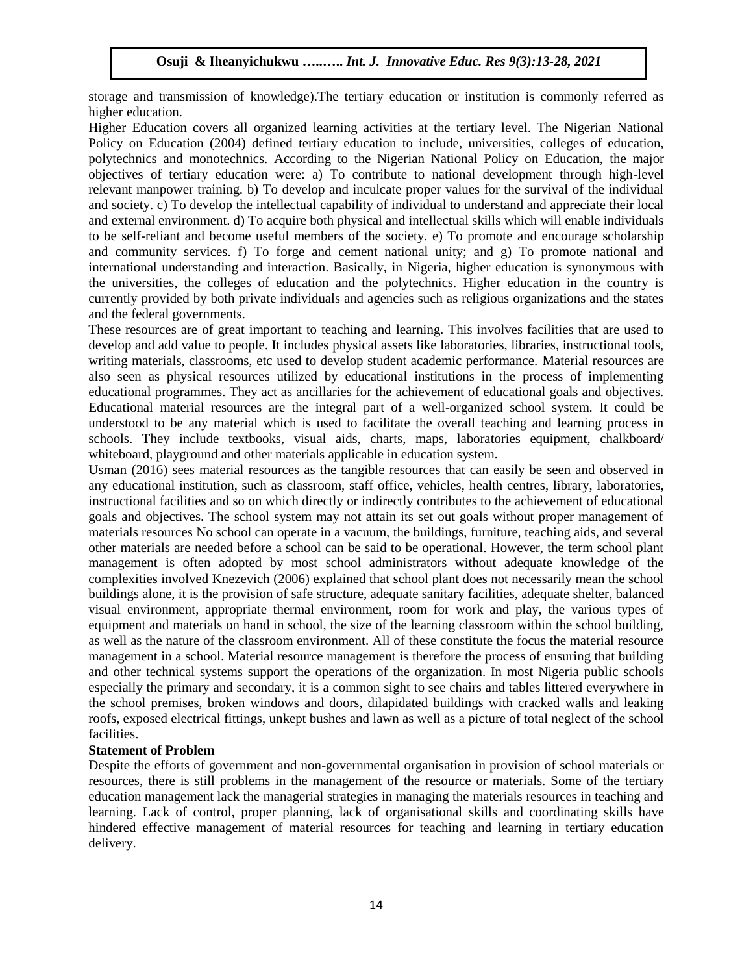storage and transmission of knowledge).The tertiary education or institution is commonly referred as higher education.

Higher Education covers all organized learning activities at the tertiary level. The Nigerian National Policy on Education (2004) defined tertiary education to include, universities, colleges of education, polytechnics and monotechnics. According to the Nigerian National Policy on Education, the major objectives of tertiary education were: a) To contribute to national development through high-level relevant manpower training. b) To develop and inculcate proper values for the survival of the individual and society. c) To develop the intellectual capability of individual to understand and appreciate their local and external environment. d) To acquire both physical and intellectual skills which will enable individuals to be self-reliant and become useful members of the society. e) To promote and encourage scholarship and community services. f) To forge and cement national unity; and g) To promote national and international understanding and interaction. Basically, in Nigeria, higher education is synonymous with the universities, the colleges of education and the polytechnics. Higher education in the country is currently provided by both private individuals and agencies such as religious organizations and the states and the federal governments.

These resources are of great important to teaching and learning. This involves facilities that are used to develop and add value to people. It includes physical assets like laboratories, libraries, instructional tools, writing materials, classrooms, etc used to develop student academic performance. Material resources are also seen as physical resources utilized by educational institutions in the process of implementing educational programmes. They act as ancillaries for the achievement of educational goals and objectives. Educational material resources are the integral part of a well-organized school system. It could be understood to be any material which is used to facilitate the overall teaching and learning process in schools. They include textbooks, visual aids, charts, maps, laboratories equipment, chalkboard/ whiteboard, playground and other materials applicable in education system.

Usman (2016) sees material resources as the tangible resources that can easily be seen and observed in any educational institution, such as classroom, staff office, vehicles, health centres, library, laboratories, instructional facilities and so on which directly or indirectly contributes to the achievement of educational goals and objectives. The school system may not attain its set out goals without proper management of materials resources No school can operate in a vacuum, the buildings, furniture, teaching aids, and several other materials are needed before a school can be said to be operational. However, the term school plant management is often adopted by most school administrators without adequate knowledge of the complexities involved Knezevich (2006) explained that school plant does not necessarily mean the school buildings alone, it is the provision of safe structure, adequate sanitary facilities, adequate shelter, balanced visual environment, appropriate thermal environment, room for work and play, the various types of equipment and materials on hand in school, the size of the learning classroom within the school building, as well as the nature of the classroom environment. All of these constitute the focus the material resource management in a school. Material resource management is therefore the process of ensuring that building and other technical systems support the operations of the organization. In most Nigeria public schools especially the primary and secondary, it is a common sight to see chairs and tables littered everywhere in the school premises, broken windows and doors, dilapidated buildings with cracked walls and leaking roofs, exposed electrical fittings, unkept bushes and lawn as well as a picture of total neglect of the school facilities.

### **Statement of Problem**

Despite the efforts of government and non-governmental organisation in provision of school materials or resources, there is still problems in the management of the resource or materials. Some of the tertiary education management lack the managerial strategies in managing the materials resources in teaching and learning. Lack of control, proper planning, lack of organisational skills and coordinating skills have hindered effective management of material resources for teaching and learning in tertiary education delivery.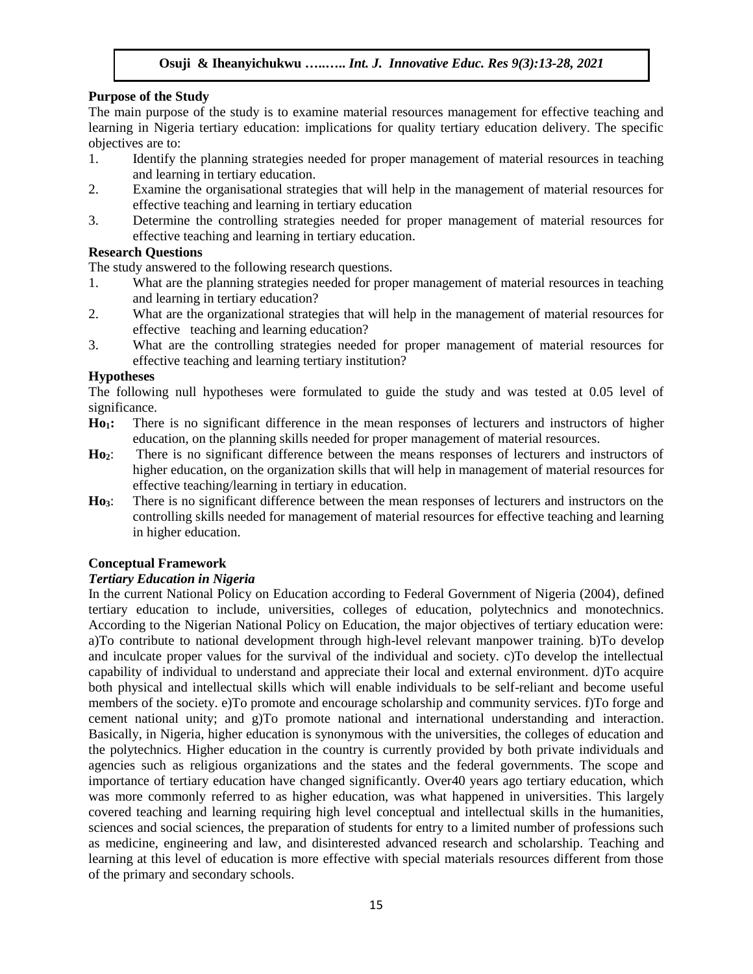### **Purpose of the Study**

The main purpose of the study is to examine material resources management for effective teaching and learning in Nigeria tertiary education: implications for quality tertiary education delivery. The specific objectives are to:

- 1. Identify the planning strategies needed for proper management of material resources in teaching and learning in tertiary education.
- 2. Examine the organisational strategies that will help in the management of material resources for effective teaching and learning in tertiary education
- 3. Determine the controlling strategies needed for proper management of material resources for effective teaching and learning in tertiary education.

### **Research Questions**

The study answered to the following research questions.

- 1. What are the planning strategies needed for proper management of material resources in teaching and learning in tertiary education?
- 2. What are the organizational strategies that will help in the management of material resources for effective teaching and learning education?
- 3. What are the controlling strategies needed for proper management of material resources for effective teaching and learning tertiary institution?

### **Hypotheses**

The following null hypotheses were formulated to guide the study and was tested at 0.05 level of significance.

- **Ho1:** There is no significant difference in the mean responses of lecturers and instructors of higher education, on the planning skills needed for proper management of material resources.
- **Ho2**: There is no significant difference between the means responses of lecturers and instructors of higher education, on the organization skills that will help in management of material resources for effective teaching/learning in tertiary in education.
- **Ho3**: There is no significant difference between the mean responses of lecturers and instructors on the controlling skills needed for management of material resources for effective teaching and learning in higher education.

# **Conceptual Framework**

### *Tertiary Education in Nigeria*

In the current National Policy on Education according to Federal Government of Nigeria (2004), defined tertiary education to include, universities, colleges of education, polytechnics and monotechnics. According to the Nigerian National Policy on Education, the major objectives of tertiary education were: a)To contribute to national development through high-level relevant manpower training. b)To develop and inculcate proper values for the survival of the individual and society. c)To develop the intellectual capability of individual to understand and appreciate their local and external environment. d)To acquire both physical and intellectual skills which will enable individuals to be self-reliant and become useful members of the society. e)To promote and encourage scholarship and community services. f)To forge and cement national unity; and g)To promote national and international understanding and interaction. Basically, in Nigeria, higher education is synonymous with the universities, the colleges of education and the polytechnics. Higher education in the country is currently provided by both private individuals and agencies such as religious organizations and the states and the federal governments. The scope and importance of tertiary education have changed significantly. Over40 years ago tertiary education, which was more commonly referred to as higher education, was what happened in universities. This largely covered teaching and learning requiring high level conceptual and intellectual skills in the humanities, sciences and social sciences, the preparation of students for entry to a limited number of professions such as medicine, engineering and law, and disinterested advanced research and scholarship. Teaching and learning at this level of education is more effective with special materials resources different from those of the primary and secondary schools.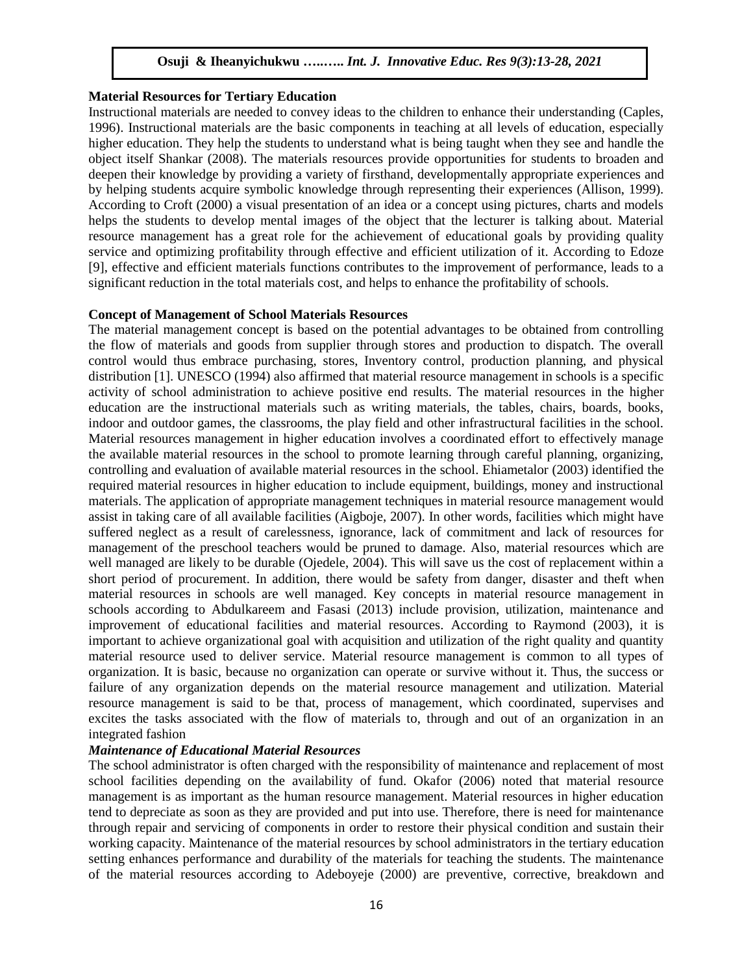#### **Material Resources for Tertiary Education**

Instructional materials are needed to convey ideas to the children to enhance their understanding (Caples, 1996). Instructional materials are the basic components in teaching at all levels of education, especially higher education. They help the students to understand what is being taught when they see and handle the object itself Shankar (2008). The materials resources provide opportunities for students to broaden and deepen their knowledge by providing a variety of firsthand, developmentally appropriate experiences and by helping students acquire symbolic knowledge through representing their experiences (Allison, 1999). According to Croft (2000) a visual presentation of an idea or a concept using pictures, charts and models helps the students to develop mental images of the object that the lecturer is talking about. Material resource management has a great role for the achievement of educational goals by providing quality service and optimizing profitability through effective and efficient utilization of it. According to Edoze [9], effective and efficient materials functions contributes to the improvement of performance, leads to a significant reduction in the total materials cost, and helps to enhance the profitability of schools.

#### **Concept of Management of School Materials Resources**

The material management concept is based on the potential advantages to be obtained from controlling the flow of materials and goods from supplier through stores and production to dispatch. The overall control would thus embrace purchasing, stores, Inventory control, production planning, and physical distribution [1]. UNESCO (1994) also affirmed that material resource management in schools is a specific activity of school administration to achieve positive end results. The material resources in the higher education are the instructional materials such as writing materials, the tables, chairs, boards, books, indoor and outdoor games, the classrooms, the play field and other infrastructural facilities in the school. Material resources management in higher education involves a coordinated effort to effectively manage the available material resources in the school to promote learning through careful planning, organizing, controlling and evaluation of available material resources in the school. Ehiametalor (2003) identified the required material resources in higher education to include equipment, buildings, money and instructional materials. The application of appropriate management techniques in material resource management would assist in taking care of all available facilities (Aigboje, 2007). In other words, facilities which might have suffered neglect as a result of carelessness, ignorance, lack of commitment and lack of resources for management of the preschool teachers would be pruned to damage. Also, material resources which are well managed are likely to be durable (Ojedele, 2004). This will save us the cost of replacement within a short period of procurement. In addition, there would be safety from danger, disaster and theft when material resources in schools are well managed. Key concepts in material resource management in schools according to Abdulkareem and Fasasi (2013) include provision, utilization, maintenance and improvement of educational facilities and material resources. According to Raymond (2003), it is important to achieve organizational goal with acquisition and utilization of the right quality and quantity material resource used to deliver service. Material resource management is common to all types of organization. It is basic, because no organization can operate or survive without it. Thus, the success or failure of any organization depends on the material resource management and utilization. Material resource management is said to be that, process of management, which coordinated, supervises and excites the tasks associated with the flow of materials to, through and out of an organization in an integrated fashion

#### *Maintenance of Educational Material Resources*

The school administrator is often charged with the responsibility of maintenance and replacement of most school facilities depending on the availability of fund. Okafor (2006) noted that material resource management is as important as the human resource management. Material resources in higher education tend to depreciate as soon as they are provided and put into use. Therefore, there is need for maintenance through repair and servicing of components in order to restore their physical condition and sustain their working capacity. Maintenance of the material resources by school administrators in the tertiary education setting enhances performance and durability of the materials for teaching the students. The maintenance of the material resources according to Adeboyeje (2000) are preventive, corrective, breakdown and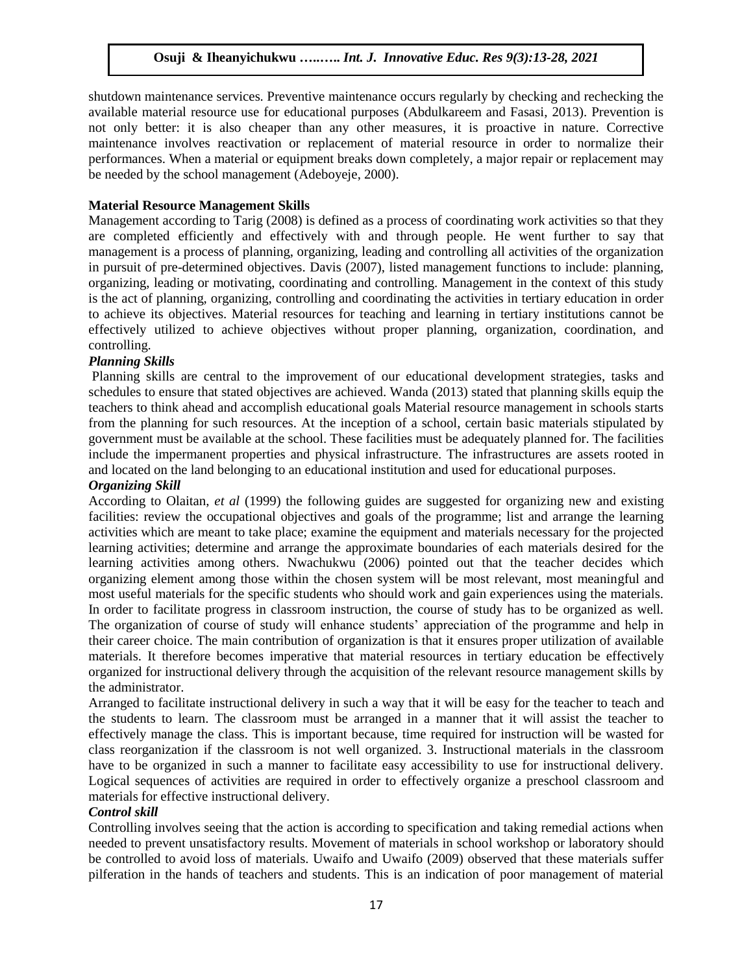shutdown maintenance services. Preventive maintenance occurs regularly by checking and rechecking the available material resource use for educational purposes (Abdulkareem and Fasasi, 2013). Prevention is not only better: it is also cheaper than any other measures, it is proactive in nature. Corrective maintenance involves reactivation or replacement of material resource in order to normalize their performances. When a material or equipment breaks down completely, a major repair or replacement may be needed by the school management (Adeboyeje, 2000).

#### **Material Resource Management Skills**

Management according to Tarig (2008) is defined as a process of coordinating work activities so that they are completed efficiently and effectively with and through people. He went further to say that management is a process of planning, organizing, leading and controlling all activities of the organization in pursuit of pre-determined objectives. Davis (2007), listed management functions to include: planning, organizing, leading or motivating, coordinating and controlling. Management in the context of this study is the act of planning, organizing, controlling and coordinating the activities in tertiary education in order to achieve its objectives. Material resources for teaching and learning in tertiary institutions cannot be effectively utilized to achieve objectives without proper planning, organization, coordination, and controlling.

#### *Planning Skills*

Planning skills are central to the improvement of our educational development strategies, tasks and schedules to ensure that stated objectives are achieved. Wanda (2013) stated that planning skills equip the teachers to think ahead and accomplish educational goals Material resource management in schools starts from the planning for such resources. At the inception of a school, certain basic materials stipulated by government must be available at the school. These facilities must be adequately planned for. The facilities include the impermanent properties and physical infrastructure. The infrastructures are assets rooted in and located on the land belonging to an educational institution and used for educational purposes.

#### *Organizing Skill*

According to Olaitan, *et al* (1999) the following guides are suggested for organizing new and existing facilities: review the occupational objectives and goals of the programme; list and arrange the learning activities which are meant to take place; examine the equipment and materials necessary for the projected learning activities; determine and arrange the approximate boundaries of each materials desired for the learning activities among others. Nwachukwu (2006) pointed out that the teacher decides which organizing element among those within the chosen system will be most relevant, most meaningful and most useful materials for the specific students who should work and gain experiences using the materials. In order to facilitate progress in classroom instruction, the course of study has to be organized as well. The organization of course of study will enhance students' appreciation of the programme and help in their career choice. The main contribution of organization is that it ensures proper utilization of available materials. It therefore becomes imperative that material resources in tertiary education be effectively organized for instructional delivery through the acquisition of the relevant resource management skills by the administrator.

Arranged to facilitate instructional delivery in such a way that it will be easy for the teacher to teach and the students to learn. The classroom must be arranged in a manner that it will assist the teacher to effectively manage the class. This is important because, time required for instruction will be wasted for class reorganization if the classroom is not well organized. 3. Instructional materials in the classroom have to be organized in such a manner to facilitate easy accessibility to use for instructional delivery. Logical sequences of activities are required in order to effectively organize a preschool classroom and materials for effective instructional delivery.

#### *Control skill*

Controlling involves seeing that the action is according to specification and taking remedial actions when needed to prevent unsatisfactory results. Movement of materials in school workshop or laboratory should be controlled to avoid loss of materials. Uwaifo and Uwaifo (2009) observed that these materials suffer pilferation in the hands of teachers and students. This is an indication of poor management of material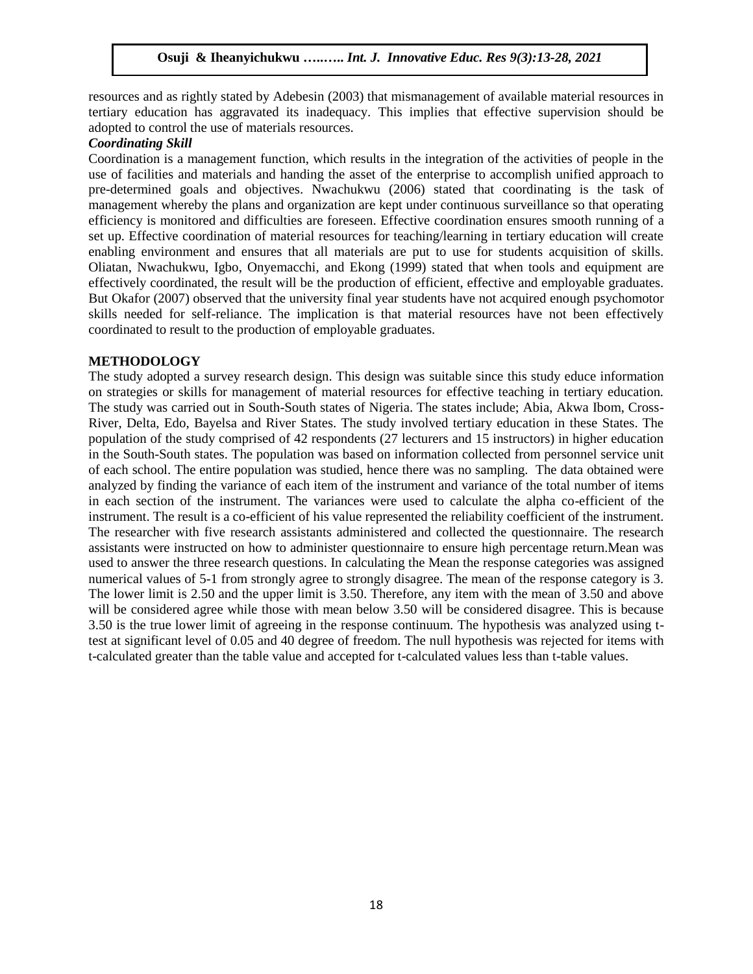resources and as rightly stated by Adebesin (2003) that mismanagement of available material resources in tertiary education has aggravated its inadequacy. This implies that effective supervision should be adopted to control the use of materials resources.

#### *Coordinating Skill*

Coordination is a management function, which results in the integration of the activities of people in the use of facilities and materials and handing the asset of the enterprise to accomplish unified approach to pre-determined goals and objectives. Nwachukwu (2006) stated that coordinating is the task of management whereby the plans and organization are kept under continuous surveillance so that operating efficiency is monitored and difficulties are foreseen. Effective coordination ensures smooth running of a set up. Effective coordination of material resources for teaching/learning in tertiary education will create enabling environment and ensures that all materials are put to use for students acquisition of skills. Oliatan, Nwachukwu, Igbo, Onyemacchi, and Ekong (1999) stated that when tools and equipment are effectively coordinated, the result will be the production of efficient, effective and employable graduates. But Okafor (2007) observed that the university final year students have not acquired enough psychomotor skills needed for self-reliance. The implication is that material resources have not been effectively coordinated to result to the production of employable graduates.

#### **METHODOLOGY**

The study adopted a survey research design. This design was suitable since this study educe information on strategies or skills for management of material resources for effective teaching in tertiary education. The study was carried out in South-South states of Nigeria. The states include; Abia, Akwa Ibom, Cross-River, Delta, Edo, Bayelsa and River States. The study involved tertiary education in these States. The population of the study comprised of 42 respondents (27 lecturers and 15 instructors) in higher education in the South-South states. The population was based on information collected from personnel service unit of each school. The entire population was studied, hence there was no sampling. The data obtained were analyzed by finding the variance of each item of the instrument and variance of the total number of items in each section of the instrument. The variances were used to calculate the alpha co-efficient of the instrument. The result is a co-efficient of his value represented the reliability coefficient of the instrument. The researcher with five research assistants administered and collected the questionnaire. The research assistants were instructed on how to administer questionnaire to ensure high percentage return.Mean was used to answer the three research questions. In calculating the Mean the response categories was assigned numerical values of 5-1 from strongly agree to strongly disagree. The mean of the response category is 3. The lower limit is 2.50 and the upper limit is 3.50. Therefore, any item with the mean of 3.50 and above will be considered agree while those with mean below 3.50 will be considered disagree. This is because 3.50 is the true lower limit of agreeing in the response continuum. The hypothesis was analyzed using ttest at significant level of 0.05 and 40 degree of freedom. The null hypothesis was rejected for items with t-calculated greater than the table value and accepted for t-calculated values less than t-table values.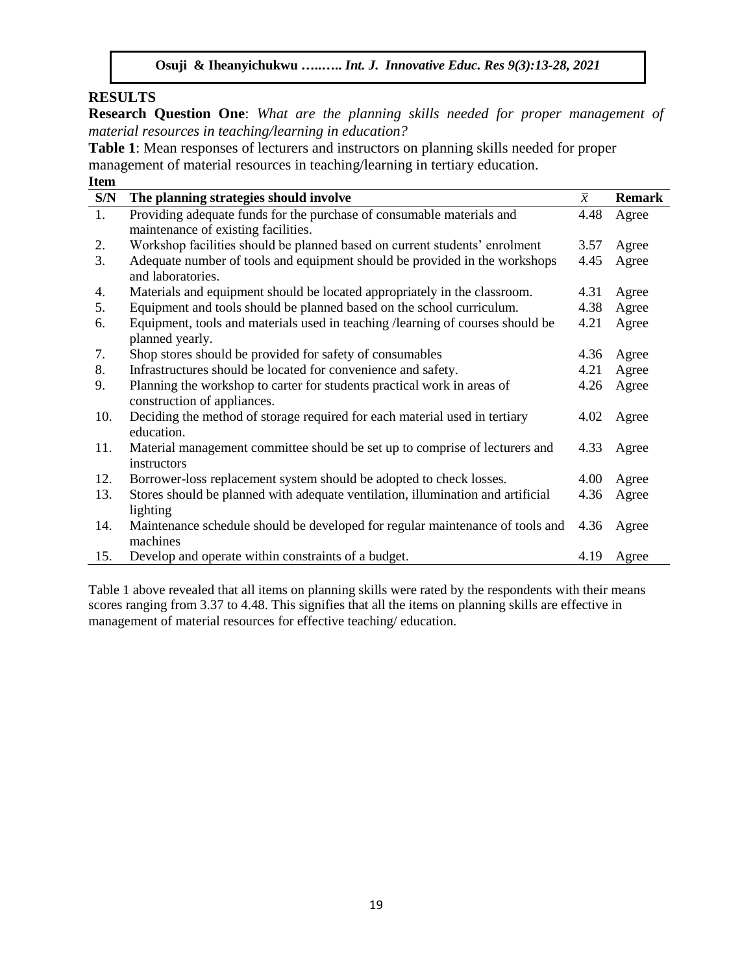# **RESULTS**

**Research Question One**: *What are the planning skills needed for proper management of material resources in teaching/learning in education?* 

**Table 1**: Mean responses of lecturers and instructors on planning skills needed for proper management of material resources in teaching/learning in tertiary education. **Item** 

| LUVIII |                                                                                 |                |               |
|--------|---------------------------------------------------------------------------------|----------------|---------------|
| S/N    | The planning strategies should involve                                          | $\overline{x}$ | <b>Remark</b> |
| 1.     | Providing adequate funds for the purchase of consumable materials and           | 4.48           | Agree         |
|        | maintenance of existing facilities.                                             |                |               |
| 2.     | Workshop facilities should be planned based on current students' enrolment      | 3.57           | Agree         |
| 3.     | Adequate number of tools and equipment should be provided in the workshops      | 4.45           | Agree         |
|        | and laboratories.                                                               |                |               |
| 4.     | Materials and equipment should be located appropriately in the classroom.       | 4.31           | Agree         |
| 5.     | Equipment and tools should be planned based on the school curriculum.           | 4.38           | Agree         |
| 6.     | Equipment, tools and materials used in teaching / learning of courses should be | 4.21           | Agree         |
|        | planned yearly.                                                                 |                |               |
| 7.     | Shop stores should be provided for safety of consumables                        | 4.36           | Agree         |
| 8.     | Infrastructures should be located for convenience and safety.                   | 4.21           | Agree         |
| 9.     | Planning the workshop to carter for students practical work in areas of         | 4.26           | Agree         |
|        | construction of appliances.                                                     |                |               |
| 10.    | Deciding the method of storage required for each material used in tertiary      | 4.02           | Agree         |
|        | education.                                                                      |                |               |
| 11.    | Material management committee should be set up to comprise of lecturers and     | 4.33           | Agree         |
|        | instructors                                                                     |                |               |
| 12.    | Borrower-loss replacement system should be adopted to check losses.             | 4.00           | Agree         |
| 13.    | Stores should be planned with adequate ventilation, illumination and artificial | 4.36           | Agree         |
|        | lighting                                                                        |                |               |
| 14.    | Maintenance schedule should be developed for regular maintenance of tools and   | 4.36           | Agree         |
|        | machines                                                                        |                |               |
| 15.    | Develop and operate within constraints of a budget.                             | 4.19           | Agree         |

Table 1 above revealed that all items on planning skills were rated by the respondents with their means scores ranging from 3.37 to 4.48. This signifies that all the items on planning skills are effective in management of material resources for effective teaching/ education.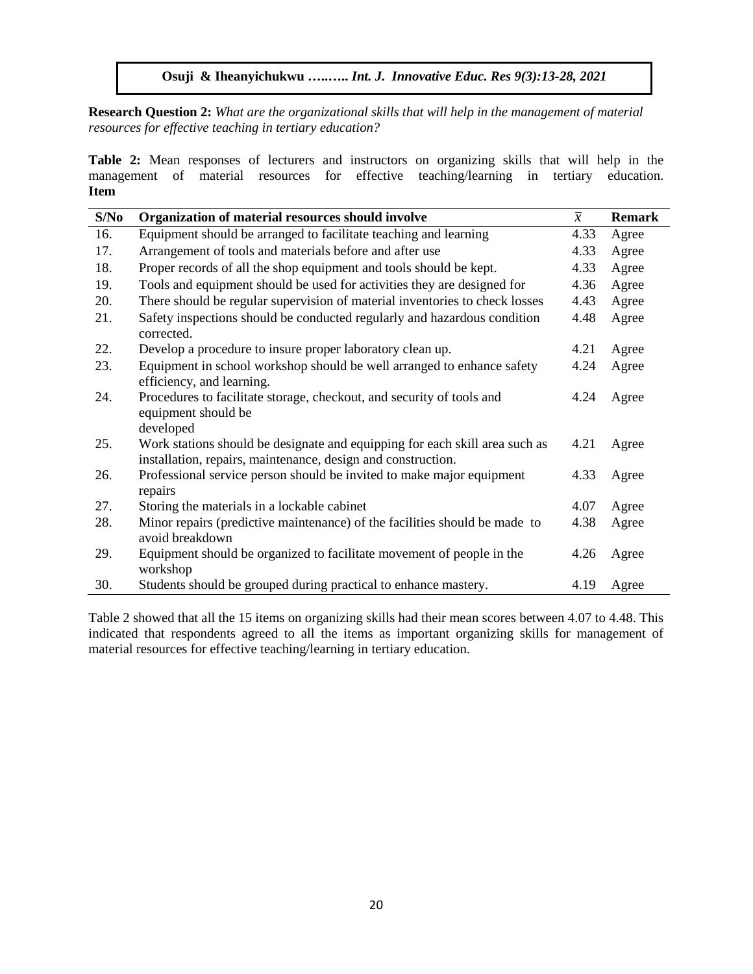**Research Question 2:** *What are the organizational skills that will help in the management of material resources for effective teaching in tertiary education?*

**Table 2:** Mean responses of lecturers and instructors on organizing skills that will help in the management of material resources for effective teaching/learning in tertiary education. **Item** 

| S/No | Organization of material resources should involve                                                                                           | $\overline{x}$ | <b>Remark</b> |
|------|---------------------------------------------------------------------------------------------------------------------------------------------|----------------|---------------|
| 16.  | Equipment should be arranged to facilitate teaching and learning                                                                            | 4.33           | Agree         |
| 17.  | Arrangement of tools and materials before and after use                                                                                     | 4.33           | Agree         |
| 18.  | Proper records of all the shop equipment and tools should be kept.                                                                          | 4.33           | Agree         |
| 19.  | Tools and equipment should be used for activities they are designed for                                                                     | 4.36           | Agree         |
| 20.  | There should be regular supervision of material inventories to check losses                                                                 | 4.43           | Agree         |
| 21.  | Safety inspections should be conducted regularly and hazardous condition<br>corrected.                                                      | 4.48           | Agree         |
| 22.  | Develop a procedure to insure proper laboratory clean up.                                                                                   | 4.21           | Agree         |
| 23.  | Equipment in school workshop should be well arranged to enhance safety<br>efficiency, and learning.                                         | 4.24           | Agree         |
| 24.  | Procedures to facilitate storage, checkout, and security of tools and<br>equipment should be<br>developed                                   | 4.24           | Agree         |
| 25.  | Work stations should be designate and equipping for each skill area such as<br>installation, repairs, maintenance, design and construction. | 4.21           | Agree         |
| 26.  | Professional service person should be invited to make major equipment<br>repairs                                                            | 4.33           | Agree         |
| 27.  | Storing the materials in a lockable cabinet                                                                                                 | 4.07           | Agree         |
| 28.  | Minor repairs (predictive maintenance) of the facilities should be made to<br>avoid breakdown                                               | 4.38           | Agree         |
| 29.  | Equipment should be organized to facilitate movement of people in the<br>workshop                                                           | 4.26           | Agree         |
| 30.  | Students should be grouped during practical to enhance mastery.                                                                             | 4.19           | Agree         |

Table 2 showed that all the 15 items on organizing skills had their mean scores between 4.07 to 4.48. This indicated that respondents agreed to all the items as important organizing skills for management of material resources for effective teaching/learning in tertiary education.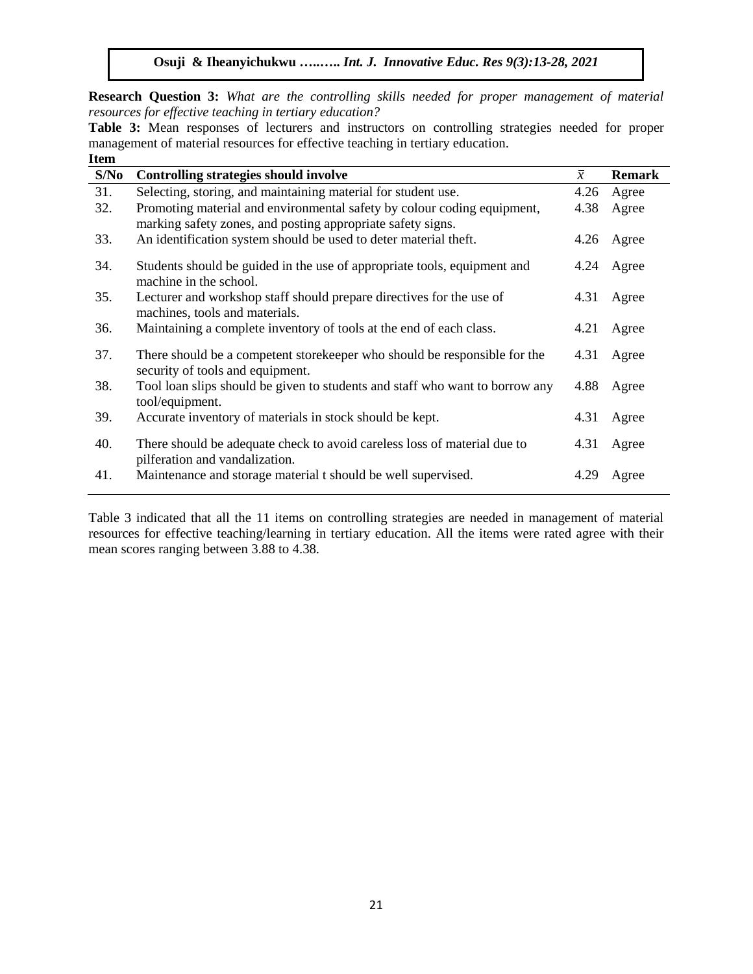**Research Question 3:** *What are the controlling skills needed for proper management of material resources for effective teaching in tertiary education?*

**Table 3:** Mean responses of lecturers and instructors on controlling strategies needed for proper management of material resources for effective teaching in tertiary education. **Item** 

| S/No | <b>Controlling strategies should involve</b>                                                                                           | $\overline{x}$ | <b>Remark</b> |
|------|----------------------------------------------------------------------------------------------------------------------------------------|----------------|---------------|
| 31.  | Selecting, storing, and maintaining material for student use.                                                                          | 4.26           | Agree         |
| 32.  | Promoting material and environmental safety by colour coding equipment,<br>marking safety zones, and posting appropriate safety signs. | 4.38           | Agree         |
| 33.  | An identification system should be used to deter material theft.                                                                       | 4.26           | Agree         |
| 34.  | Students should be guided in the use of appropriate tools, equipment and<br>machine in the school.                                     | 4.24           | Agree         |
| 35.  | Lecturer and workshop staff should prepare directives for the use of<br>machines, tools and materials.                                 | 4.31           | Agree         |
| 36.  | Maintaining a complete inventory of tools at the end of each class.                                                                    | 4.21           | Agree         |
| 37.  | There should be a competent store keeper who should be responsible for the<br>security of tools and equipment.                         | 4.31           | Agree         |
| 38.  | Tool loan slips should be given to students and staff who want to borrow any<br>tool/equipment.                                        | 4.88           | Agree         |
| 39.  | Accurate inventory of materials in stock should be kept.                                                                               | 4.31           | Agree         |
| 40.  | There should be adequate check to avoid careless loss of material due to<br>pilferation and vandalization.                             | 4.31           | Agree         |
| 41.  | Maintenance and storage material t should be well supervised.                                                                          | 4.29           | Agree         |

Table 3 indicated that all the 11 items on controlling strategies are needed in management of material resources for effective teaching/learning in tertiary education. All the items were rated agree with their mean scores ranging between 3.88 to 4.38.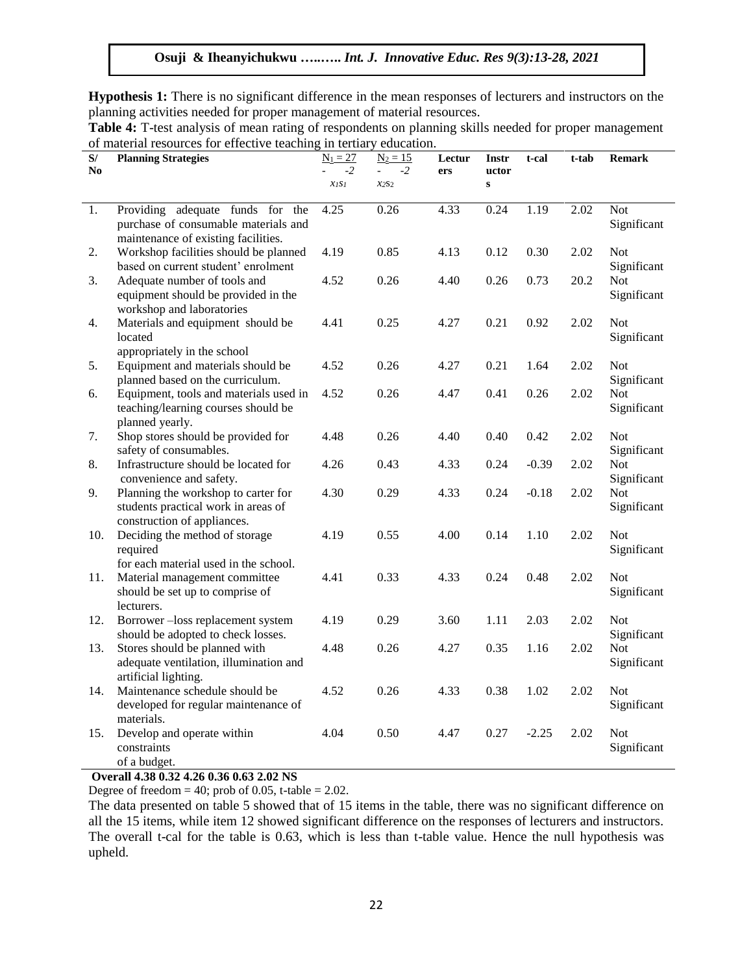**Hypothesis 1:** There is no significant difference in the mean responses of lecturers and instructors on the planning activities needed for proper management of material resources.

| Table 4: T-test analysis of mean rating of respondents on planning skills needed for proper management |
|--------------------------------------------------------------------------------------------------------|
| of material resources for effective teaching in tertiary education.                                    |

| S/<br>N <sub>0</sub> | <b>Planning Strategies</b>                                                                                | $N_1 = 27$<br>$-2$ | $N_2 = 15$<br>$-2$ | Lectur | <b>Instr</b><br>uctor | t-cal   | t-tab | <b>Remark</b>             |
|----------------------|-----------------------------------------------------------------------------------------------------------|--------------------|--------------------|--------|-----------------------|---------|-------|---------------------------|
|                      |                                                                                                           | XISI               | $x_{2S2}$          | ers    | $\mathbf{s}$          |         |       |                           |
| 1.                   | Providing adequate funds for the                                                                          | 4.25               | 0.26               | 4.33   | 0.24                  | 1.19    | 2.02  | <b>Not</b>                |
|                      | purchase of consumable materials and<br>maintenance of existing facilities.                               |                    |                    |        |                       |         |       | Significant               |
| 2.                   | Workshop facilities should be planned<br>based on current student' enrolment                              | 4.19               | 0.85               | 4.13   | 0.12                  | 0.30    | 2.02  | <b>Not</b><br>Significant |
| 3.                   | Adequate number of tools and<br>equipment should be provided in the<br>workshop and laboratories          | 4.52               | 0.26               | 4.40   | 0.26                  | 0.73    | 20.2  | <b>Not</b><br>Significant |
| 4.                   | Materials and equipment should be<br>located<br>appropriately in the school                               | 4.41               | 0.25               | 4.27   | 0.21                  | 0.92    | 2.02  | <b>Not</b><br>Significant |
| 5.                   | Equipment and materials should be<br>planned based on the curriculum.                                     | 4.52               | 0.26               | 4.27   | 0.21                  | 1.64    | 2.02  | <b>Not</b><br>Significant |
| 6.                   | Equipment, tools and materials used in<br>teaching/learning courses should be<br>planned yearly.          | 4.52               | 0.26               | 4.47   | 0.41                  | 0.26    | 2.02  | Not<br>Significant        |
| 7.                   | Shop stores should be provided for<br>safety of consumables.                                              | 4.48               | 0.26               | 4.40   | 0.40                  | 0.42    | 2.02  | <b>Not</b><br>Significant |
| 8.                   | Infrastructure should be located for<br>convenience and safety.                                           | 4.26               | 0.43               | 4.33   | 0.24                  | $-0.39$ | 2.02  | <b>Not</b><br>Significant |
| 9.                   | Planning the workshop to carter for<br>students practical work in areas of<br>construction of appliances. | 4.30               | 0.29               | 4.33   | 0.24                  | $-0.18$ | 2.02  | <b>Not</b><br>Significant |
| 10.                  | Deciding the method of storage<br>required<br>for each material used in the school.                       | 4.19               | 0.55               | 4.00   | 0.14                  | 1.10    | 2.02  | <b>Not</b><br>Significant |
| 11.                  | Material management committee<br>should be set up to comprise of<br>lecturers.                            | 4.41               | 0.33               | 4.33   | 0.24                  | 0.48    | 2.02  | <b>Not</b><br>Significant |
| 12.                  | Borrower-loss replacement system<br>should be adopted to check losses.                                    | 4.19               | 0.29               | 3.60   | 1.11                  | 2.03    | 2.02  | <b>Not</b><br>Significant |
| 13.                  | Stores should be planned with<br>adequate ventilation, illumination and<br>artificial lighting.           | 4.48               | 0.26               | 4.27   | 0.35                  | 1.16    | 2.02  | <b>Not</b><br>Significant |
| 14.                  | Maintenance schedule should be<br>developed for regular maintenance of<br>materials.                      | 4.52               | 0.26               | 4.33   | 0.38                  | 1.02    | 2.02  | <b>Not</b><br>Significant |
| 15.                  | Develop and operate within<br>constraints<br>of a budget.                                                 | 4.04               | 0.50               | 4.47   | 0.27                  | $-2.25$ | 2.02  | <b>Not</b><br>Significant |

# **Overall 4.38 0.32 4.26 0.36 0.63 2.02 NS**

Degree of freedom = 40; prob of 0.05, t-table =  $2.02$ .

The data presented on table 5 showed that of 15 items in the table, there was no significant difference on all the 15 items, while item 12 showed significant difference on the responses of lecturers and instructors. The overall t-cal for the table is 0.63, which is less than t-table value. Hence the null hypothesis was upheld.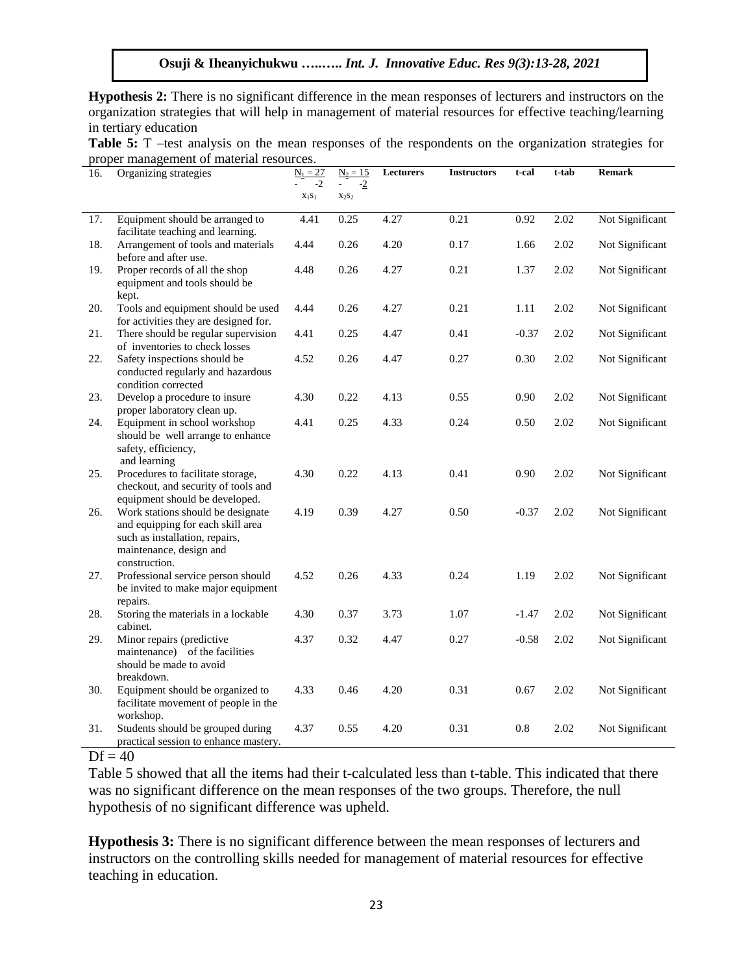**Hypothesis 2:** There is no significant difference in the mean responses of lecturers and instructors on the organization strategies that will help in management of material resources for effective teaching/learning in tertiary education

| <b>Table 5:</b> T –test analysis on the mean responses of the respondents on the organization strategies for |  |  |
|--------------------------------------------------------------------------------------------------------------|--|--|
| proper management of material resources.                                                                     |  |  |

| 16. | Organizing strategies                                                                                                                                | $N_1 = 27$       | $N_2 = 15$       | Lecturers | <b>Instructors</b> | t-cal   | t-tab | <b>Remark</b>   |
|-----|------------------------------------------------------------------------------------------------------------------------------------------------------|------------------|------------------|-----------|--------------------|---------|-------|-----------------|
|     |                                                                                                                                                      | $-2$<br>$x_1s_1$ | $-2$<br>$X_2S_2$ |           |                    |         |       |                 |
| 17. | Equipment should be arranged to<br>facilitate teaching and learning.                                                                                 | 4.41             | 0.25             | 4.27      | 0.21               | 0.92    | 2.02  | Not Significant |
| 18. | Arrangement of tools and materials<br>before and after use.                                                                                          | 4.44             | 0.26             | 4.20      | 0.17               | 1.66    | 2.02  | Not Significant |
| 19. | Proper records of all the shop<br>equipment and tools should be<br>kept.                                                                             | 4.48             | 0.26             | 4.27      | 0.21               | 1.37    | 2.02  | Not Significant |
| 20. | Tools and equipment should be used<br>for activities they are designed for.                                                                          | 4.44             | 0.26             | 4.27      | 0.21               | 1.11    | 2.02  | Not Significant |
| 21. | There should be regular supervision<br>of inventories to check losses                                                                                | 4.41             | 0.25             | 4.47      | 0.41               | $-0.37$ | 2.02  | Not Significant |
| 22. | Safety inspections should be<br>conducted regularly and hazardous<br>condition corrected                                                             | 4.52             | 0.26             | 4.47      | 0.27               | 0.30    | 2.02  | Not Significant |
| 23. | Develop a procedure to insure<br>proper laboratory clean up.                                                                                         | 4.30             | 0.22             | 4.13      | 0.55               | 0.90    | 2.02  | Not Significant |
| 24. | Equipment in school workshop<br>should be well arrange to enhance<br>safety, efficiency,<br>and learning                                             | 4.41             | 0.25             | 4.33      | 0.24               | 0.50    | 2.02  | Not Significant |
| 25. | Procedures to facilitate storage,<br>checkout, and security of tools and<br>equipment should be developed.                                           | 4.30             | 0.22             | 4.13      | 0.41               | 0.90    | 2.02  | Not Significant |
| 26. | Work stations should be designate<br>and equipping for each skill area<br>such as installation, repairs,<br>maintenance, design and<br>construction. | 4.19             | 0.39             | 4.27      | 0.50               | $-0.37$ | 2.02  | Not Significant |
| 27. | Professional service person should<br>be invited to make major equipment<br>repairs.                                                                 | 4.52             | 0.26             | 4.33      | 0.24               | 1.19    | 2.02  | Not Significant |
| 28. | Storing the materials in a lockable<br>cabinet.                                                                                                      | 4.30             | 0.37             | 3.73      | 1.07               | $-1.47$ | 2.02  | Not Significant |
| 29. | Minor repairs (predictive<br>maintenance) of the facilities<br>should be made to avoid<br>breakdown.                                                 | 4.37             | 0.32             | 4.47      | 0.27               | $-0.58$ | 2.02  | Not Significant |
| 30. | Equipment should be organized to<br>facilitate movement of people in the<br>workshop.                                                                | 4.33             | 0.46             | 4.20      | 0.31               | 0.67    | 2.02  | Not Significant |
| 31. | Students should be grouped during<br>practical session to enhance mastery.                                                                           | 4.37             | 0.55             | 4.20      | 0.31               | 0.8     | 2.02  | Not Significant |

# $Df = 40$

Table 5 showed that all the items had their t-calculated less than t-table. This indicated that there was no significant difference on the mean responses of the two groups. Therefore, the null hypothesis of no significant difference was upheld.

**Hypothesis 3:** There is no significant difference between the mean responses of lecturers and instructors on the controlling skills needed for management of material resources for effective teaching in education.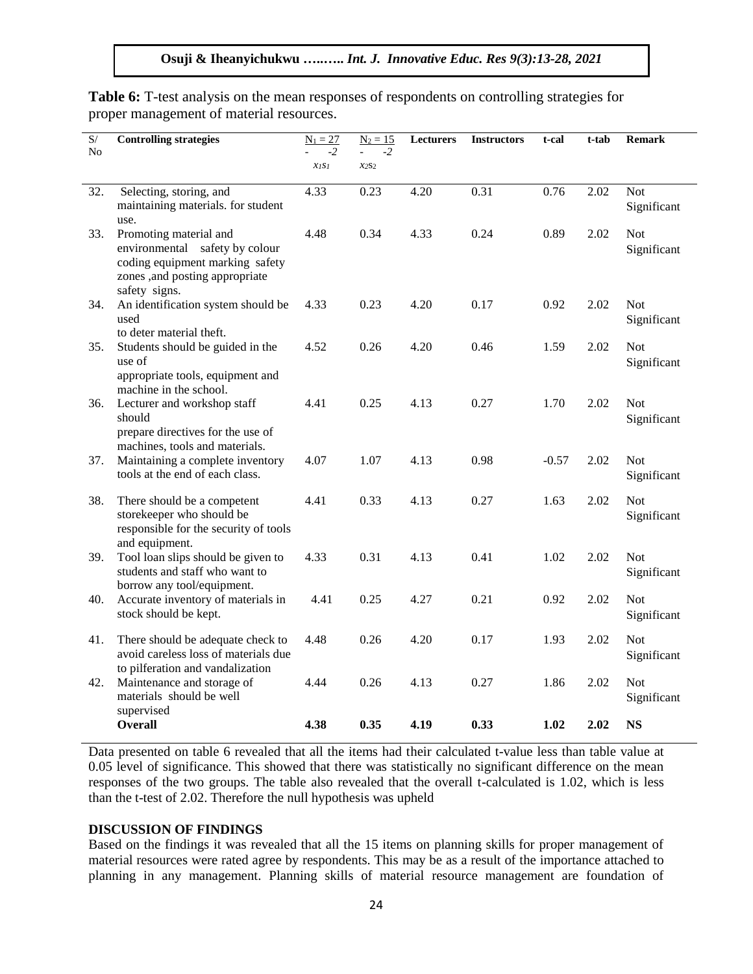| S/  | <b>Controlling strategies</b>                                       | $N_1 = 27$ | $N_2 = 15$ | Lecturers | <b>Instructors</b> | t-cal   | t-tab | <b>Remark</b> |
|-----|---------------------------------------------------------------------|------------|------------|-----------|--------------------|---------|-------|---------------|
| No  |                                                                     | $-2$       | $-2$       |           |                    |         |       |               |
|     |                                                                     | XISI       | $x_{2S2}$  |           |                    |         |       |               |
| 32. | Selecting, storing, and                                             | 4.33       | 0.23       | 4.20      | 0.31               | 0.76    | 2.02  | <b>Not</b>    |
|     | maintaining materials. for student                                  |            |            |           |                    |         |       | Significant   |
|     | use.                                                                |            |            |           |                    |         |       |               |
| 33. | Promoting material and                                              | 4.48       | 0.34       | 4.33      | 0.24               | 0.89    | 2.02  | <b>Not</b>    |
|     | environmental safety by colour<br>coding equipment marking safety   |            |            |           |                    |         |       | Significant   |
|     | zones ,and posting appropriate                                      |            |            |           |                    |         |       |               |
|     | safety signs.                                                       |            |            |           |                    |         |       |               |
| 34. | An identification system should be                                  | 4.33       | 0.23       | 4.20      | 0.17               | 0.92    | 2.02  | <b>Not</b>    |
|     | used                                                                |            |            |           |                    |         |       | Significant   |
|     | to deter material theft.                                            |            |            |           |                    |         |       |               |
| 35. | Students should be guided in the                                    | 4.52       | 0.26       | 4.20      | 0.46               | 1.59    | 2.02  | <b>Not</b>    |
|     | use of<br>appropriate tools, equipment and                          |            |            |           |                    |         |       | Significant   |
|     | machine in the school.                                              |            |            |           |                    |         |       |               |
| 36. | Lecturer and workshop staff                                         | 4.41       | 0.25       | 4.13      | 0.27               | 1.70    | 2.02  | <b>Not</b>    |
|     | should                                                              |            |            |           |                    |         |       | Significant   |
|     | prepare directives for the use of                                   |            |            |           |                    |         |       |               |
|     | machines, tools and materials.                                      |            |            |           |                    |         |       |               |
| 37. | Maintaining a complete inventory<br>tools at the end of each class. | 4.07       | 1.07       | 4.13      | 0.98               | $-0.57$ | 2.02  | <b>Not</b>    |
|     |                                                                     |            |            |           |                    |         |       | Significant   |
| 38. | There should be a competent                                         | 4.41       | 0.33       | 4.13      | 0.27               | 1.63    | 2.02  | <b>Not</b>    |
|     | storekeeper who should be                                           |            |            |           |                    |         |       | Significant   |
|     | responsible for the security of tools                               |            |            |           |                    |         |       |               |
| 39. | and equipment.<br>Tool loan slips should be given to                | 4.33       | 0.31       | 4.13      | 0.41               | 1.02    | 2.02  | <b>Not</b>    |
|     | students and staff who want to                                      |            |            |           |                    |         |       | Significant   |
|     | borrow any tool/equipment.                                          |            |            |           |                    |         |       |               |
| 40. | Accurate inventory of materials in                                  | 4.41       | 0.25       | 4.27      | 0.21               | 0.92    | 2.02  | <b>Not</b>    |
|     | stock should be kept.                                               |            |            |           |                    |         |       | Significant   |
| 41. | There should be adequate check to                                   | 4.48       | 0.26       | 4.20      | 0.17               | 1.93    | 2.02  | <b>Not</b>    |
|     | avoid careless loss of materials due                                |            |            |           |                    |         |       | Significant   |
|     | to pilferation and vandalization                                    |            |            |           |                    |         |       |               |
| 42. | Maintenance and storage of                                          | 4.44       | 0.26       | 4.13      | 0.27               | 1.86    | 2.02  | <b>Not</b>    |
|     | materials should be well                                            |            |            |           |                    |         |       | Significant   |
|     | supervised<br>Overall                                               | 4.38       | 0.35       | 4.19      | 0.33               | 1.02    | 2.02  | <b>NS</b>     |
|     |                                                                     |            |            |           |                    |         |       |               |

Table 6: T-test analysis on the mean responses of respondents on controlling strategies for proper management of material resources.

Data presented on table 6 revealed that all the items had their calculated t-value less than table value at 0.05 level of significance. This showed that there was statistically no significant difference on the mean responses of the two groups. The table also revealed that the overall t-calculated is 1.02, which is less than the t-test of 2.02. Therefore the null hypothesis was upheld

#### **DISCUSSION OF FINDINGS**

Based on the findings it was revealed that all the 15 items on planning skills for proper management of material resources were rated agree by respondents. This may be as a result of the importance attached to planning in any management. Planning skills of material resource management are foundation of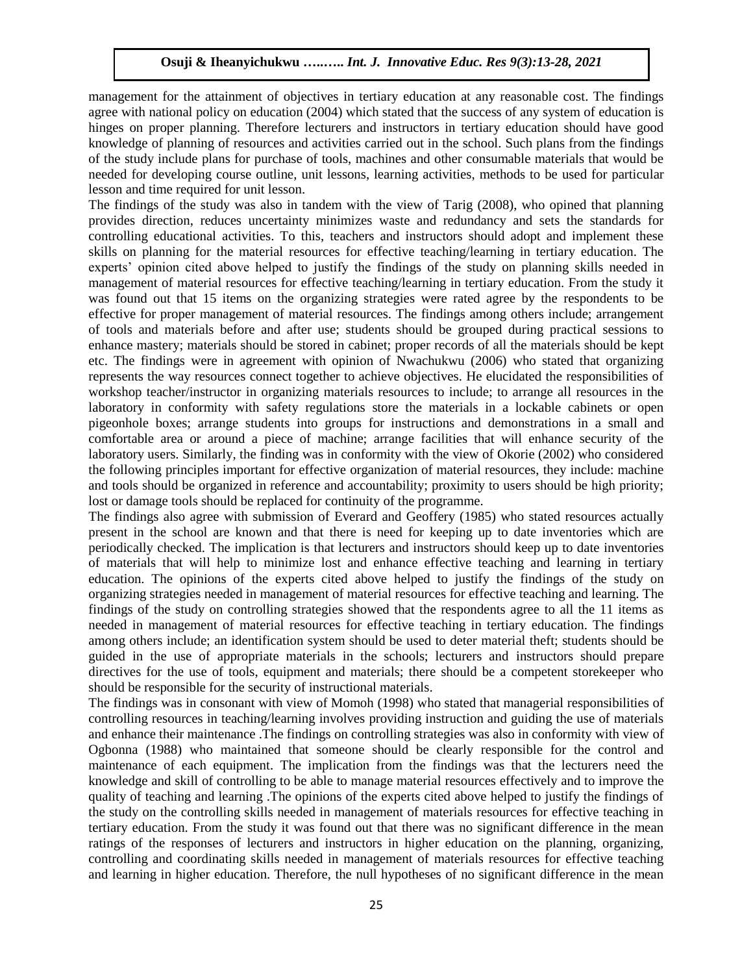management for the attainment of objectives in tertiary education at any reasonable cost. The findings agree with national policy on education (2004) which stated that the success of any system of education is hinges on proper planning. Therefore lecturers and instructors in tertiary education should have good knowledge of planning of resources and activities carried out in the school. Such plans from the findings of the study include plans for purchase of tools, machines and other consumable materials that would be needed for developing course outline, unit lessons, learning activities, methods to be used for particular lesson and time required for unit lesson.

The findings of the study was also in tandem with the view of Tarig (2008), who opined that planning provides direction, reduces uncertainty minimizes waste and redundancy and sets the standards for controlling educational activities. To this, teachers and instructors should adopt and implement these skills on planning for the material resources for effective teaching/learning in tertiary education. The experts' opinion cited above helped to justify the findings of the study on planning skills needed in management of material resources for effective teaching/learning in tertiary education. From the study it was found out that 15 items on the organizing strategies were rated agree by the respondents to be effective for proper management of material resources. The findings among others include; arrangement of tools and materials before and after use; students should be grouped during practical sessions to enhance mastery; materials should be stored in cabinet; proper records of all the materials should be kept etc. The findings were in agreement with opinion of Nwachukwu (2006) who stated that organizing represents the way resources connect together to achieve objectives. He elucidated the responsibilities of workshop teacher/instructor in organizing materials resources to include; to arrange all resources in the laboratory in conformity with safety regulations store the materials in a lockable cabinets or open pigeonhole boxes; arrange students into groups for instructions and demonstrations in a small and comfortable area or around a piece of machine; arrange facilities that will enhance security of the laboratory users. Similarly, the finding was in conformity with the view of Okorie (2002) who considered the following principles important for effective organization of material resources, they include: machine and tools should be organized in reference and accountability; proximity to users should be high priority; lost or damage tools should be replaced for continuity of the programme.

The findings also agree with submission of Everard and Geoffery (1985) who stated resources actually present in the school are known and that there is need for keeping up to date inventories which are periodically checked. The implication is that lecturers and instructors should keep up to date inventories of materials that will help to minimize lost and enhance effective teaching and learning in tertiary education. The opinions of the experts cited above helped to justify the findings of the study on organizing strategies needed in management of material resources for effective teaching and learning. The findings of the study on controlling strategies showed that the respondents agree to all the 11 items as needed in management of material resources for effective teaching in tertiary education. The findings among others include; an identification system should be used to deter material theft; students should be guided in the use of appropriate materials in the schools; lecturers and instructors should prepare directives for the use of tools, equipment and materials; there should be a competent storekeeper who should be responsible for the security of instructional materials.

The findings was in consonant with view of Momoh (1998) who stated that managerial responsibilities of controlling resources in teaching/learning involves providing instruction and guiding the use of materials and enhance their maintenance .The findings on controlling strategies was also in conformity with view of Ogbonna (1988) who maintained that someone should be clearly responsible for the control and maintenance of each equipment. The implication from the findings was that the lecturers need the knowledge and skill of controlling to be able to manage material resources effectively and to improve the quality of teaching and learning .The opinions of the experts cited above helped to justify the findings of the study on the controlling skills needed in management of materials resources for effective teaching in tertiary education. From the study it was found out that there was no significant difference in the mean ratings of the responses of lecturers and instructors in higher education on the planning, organizing, controlling and coordinating skills needed in management of materials resources for effective teaching and learning in higher education. Therefore, the null hypotheses of no significant difference in the mean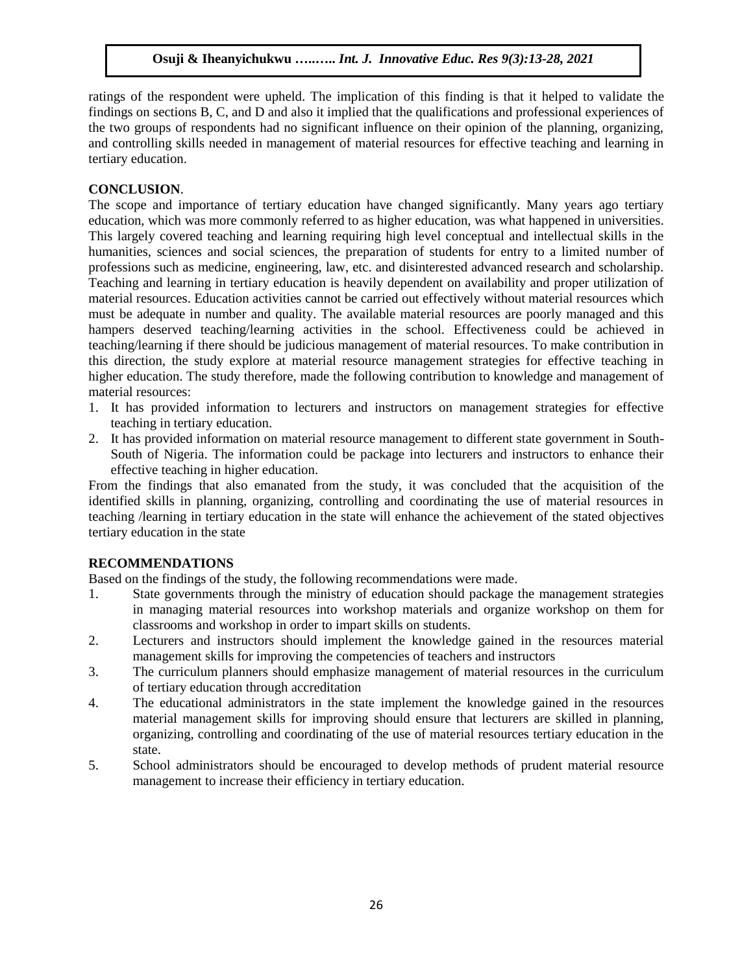ratings of the respondent were upheld. The implication of this finding is that it helped to validate the findings on sections B, C, and D and also it implied that the qualifications and professional experiences of the two groups of respondents had no significant influence on their opinion of the planning, organizing, and controlling skills needed in management of material resources for effective teaching and learning in tertiary education.

# **CONCLUSION**.

The scope and importance of tertiary education have changed significantly. Many years ago tertiary education, which was more commonly referred to as higher education, was what happened in universities. This largely covered teaching and learning requiring high level conceptual and intellectual skills in the humanities, sciences and social sciences, the preparation of students for entry to a limited number of professions such as medicine, engineering, law, etc. and disinterested advanced research and scholarship. Teaching and learning in tertiary education is heavily dependent on availability and proper utilization of material resources. Education activities cannot be carried out effectively without material resources which must be adequate in number and quality. The available material resources are poorly managed and this hampers deserved teaching/learning activities in the school. Effectiveness could be achieved in teaching/learning if there should be judicious management of material resources. To make contribution in this direction, the study explore at material resource management strategies for effective teaching in higher education. The study therefore, made the following contribution to knowledge and management of material resources:

- 1. It has provided information to lecturers and instructors on management strategies for effective teaching in tertiary education.
- 2. It has provided information on material resource management to different state government in South-South of Nigeria. The information could be package into lecturers and instructors to enhance their effective teaching in higher education.

From the findings that also emanated from the study, it was concluded that the acquisition of the identified skills in planning, organizing, controlling and coordinating the use of material resources in teaching /learning in tertiary education in the state will enhance the achievement of the stated objectives tertiary education in the state

### **RECOMMENDATIONS**

Based on the findings of the study, the following recommendations were made.

- 1. State governments through the ministry of education should package the management strategies in managing material resources into workshop materials and organize workshop on them for classrooms and workshop in order to impart skills on students.
- 2. Lecturers and instructors should implement the knowledge gained in the resources material management skills for improving the competencies of teachers and instructors
- 3. The curriculum planners should emphasize management of material resources in the curriculum of tertiary education through accreditation
- 4. The educational administrators in the state implement the knowledge gained in the resources material management skills for improving should ensure that lecturers are skilled in planning, organizing, controlling and coordinating of the use of material resources tertiary education in the state.
- 5. School administrators should be encouraged to develop methods of prudent material resource management to increase their efficiency in tertiary education.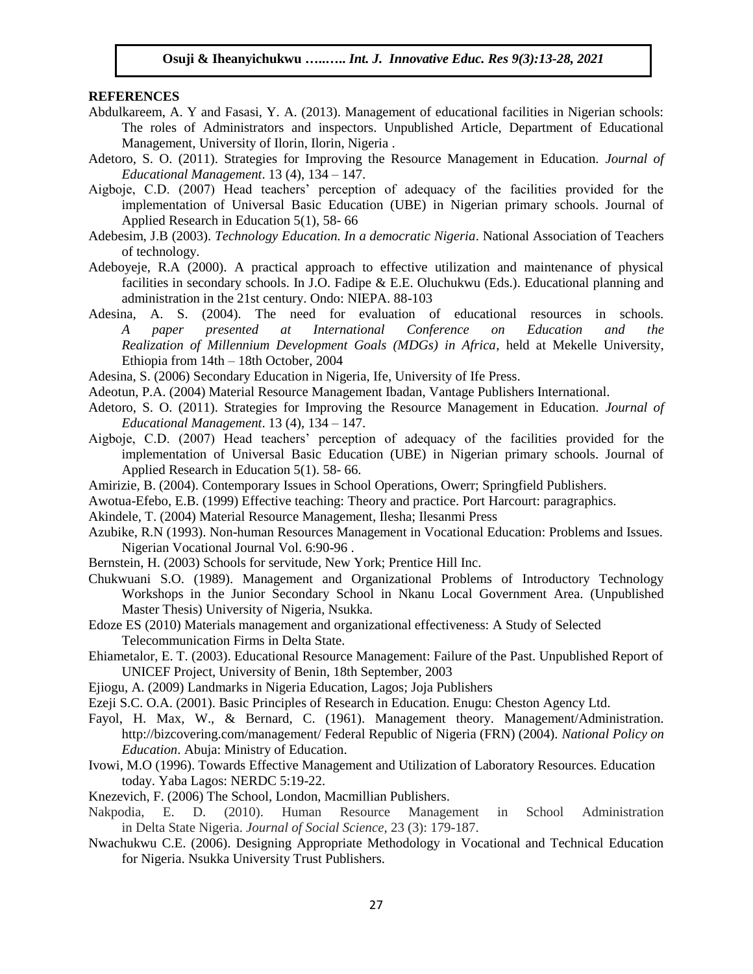#### **REFERENCES**

- Abdulkareem, A. Y and Fasasi, Y. A. (2013). Management of educational facilities in Nigerian schools: The roles of Administrators and inspectors. Unpublished Article, Department of Educational Management, University of Ilorin, Ilorin, Nigeria .
- Adetoro, S. O. (2011). Strategies for Improving the Resource Management in Education. *Journal of Educational Management*. 13 (4), 134 – 147.
- Aigboje, C.D. (2007) Head teachers' perception of adequacy of the facilities provided for the implementation of Universal Basic Education (UBE) in Nigerian primary schools. Journal of Applied Research in Education 5(1), 58- 66
- Adebesim, J.B (2003). *Technology Education. In a democratic Nigeria*. National Association of Teachers of technology.
- Adeboyeje, R.A (2000). A practical approach to effective utilization and maintenance of physical facilities in secondary schools. In J.O. Fadipe & E.E. Oluchukwu (Eds.). Educational planning and administration in the 21st century. Ondo: NIEPA. 88-103
- Adesina, A. S. (2004). The need for evaluation of educational resources in schools. *A paper presented at International Conference on Education and the Realization of Millennium Development Goals (MDGs) in Africa*, held at Mekelle University, Ethiopia from 14th – 18th October, 2004
- Adesina, S. (2006) Secondary Education in Nigeria, Ife, University of Ife Press.
- Adeotun, P.A. (2004) Material Resource Management Ibadan, Vantage Publishers International.
- Adetoro, S. O. (2011). Strategies for Improving the Resource Management in Education. *Journal of Educational Management*. 13 (4), 134 – 147.
- Aigboje, C.D. (2007) Head teachers' perception of adequacy of the facilities provided for the implementation of Universal Basic Education (UBE) in Nigerian primary schools. Journal of Applied Research in Education 5(1). 58- 66.
- Amirizie, B. (2004). Contemporary Issues in School Operations, Owerr; Springfield Publishers.
- Awotua-Efebo, E.B. (1999) Effective teaching: Theory and practice. Port Harcourt: paragraphics.
- Akindele, T. (2004) Material Resource Management, Ilesha; Ilesanmi Press
- Azubike, R.N (1993). Non-human Resources Management in Vocational Education: Problems and Issues. Nigerian Vocational Journal Vol. 6:90-96 .
- Bernstein, H. (2003) Schools for servitude, New York; Prentice Hill Inc.
- Chukwuani S.O. (1989). Management and Organizational Problems of Introductory Technology Workshops in the Junior Secondary School in Nkanu Local Government Area. (Unpublished Master Thesis) University of Nigeria, Nsukka.
- Edoze ES (2010) Materials management and organizational effectiveness: A Study of Selected Telecommunication Firms in Delta State.
- Ehiametalor, E. T. (2003). Educational Resource Management: Failure of the Past. Unpublished Report of UNICEF Project, University of Benin, 18th September, 2003
- Ejiogu, A. (2009) Landmarks in Nigeria Education, Lagos; Joja Publishers
- Ezeji S.C. O.A. (2001). Basic Principles of Research in Education. Enugu: Cheston Agency Ltd.
- Fayol, H. Max, W., & Bernard, C. (1961). Management theory. Management/Administration. http://bizcovering.com/management/ Federal Republic of Nigeria (FRN) (2004). *National Policy on Education*. Abuja: Ministry of Education.
- Ivowi, M.O (1996). Towards Effective Management and Utilization of Laboratory Resources. Education today. Yaba Lagos: NERDC 5:19-22.
- Knezevich, F. (2006) The School, London, Macmillian Publishers.
- Nakpodia, E. D. (2010). Human Resource Management in School Administration in Delta State Nigeria. *Journal of Social Science,* 23 (3): 179-187.
- Nwachukwu C.E. (2006). Designing Appropriate Methodology in Vocational and Technical Education for Nigeria. Nsukka University Trust Publishers.